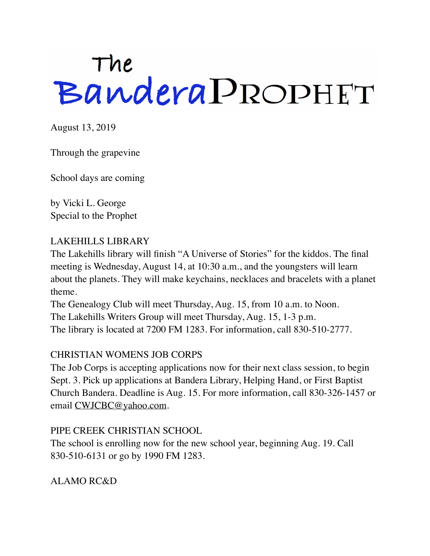# The<br>Bandera PROPHET

August 13, 2019

Through the grapevine

School days are coming

by Vicki L. George Special to the Prophet

#### LAKEHILLS LIBRARY

The Lakehills library will finish "A Universe of Stories" for the kiddos. The final meeting is Wednesday, August 14, at 10:30 a.m., and the youngsters will learn about the planets. They will make keychains, necklaces and bracelets with a planet theme.

The Genealogy Club will meet Thursday, Aug. 15, from 10 a.m. to Noon. The Lakehills Writers Group will meet Thursday, Aug. 15, 1-3 p.m. The library is located at 7200 FM 1283. For information, call 830-510-2777.

## CHRISTIAN WOMENS JOB CORPS

The Job Corps is accepting applications now for their next class session, to begin Sept. 3. Pick up applications at Bandera Library, Helping Hand, or First Baptist Church Bandera. Deadline is Aug. 15. For more information, call 830-326-1457 or email [CWJCBC@yahoo.com](mailto:CWJCBC@yahoo.com).

#### PIPE CREEK CHRISTIAN SCHOOL

The school is enrolling now for the new school year, beginning Aug. 19. Call 830-510-6131 or go by 1990 FM 1283.

ALAMO RC&D